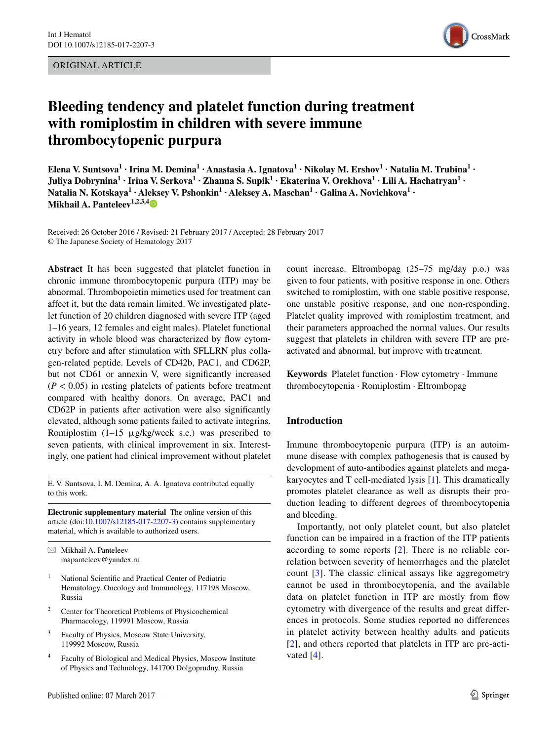ORIGINAL ARTICLE



# **Bleeding tendency and platelet function during treatment with romiplostim in children with severe immune thrombocytopenic purpura**

Elena V. Suntsova<sup>1</sup> · Irina M. Demina<sup>1</sup> · Anastasia A. Ignatova<sup>1</sup> · Nikolay M. Ershov<sup>1</sup> · Natalia M. Trubina<sup>1</sup> · **Juliya Dobrynina<sup>1</sup> · Irina V. Serkova1 · Zhanna S. Supik1 · Ekaterina V. Orekhova1 · Lili A. Hachatryan1 · Natalia N. Kotskaya<sup>1</sup> · Aleksey V. Pshonkin1 · Aleksey A. Maschan1 · Galina A. Novichkova1 · Mikhail A. Panteleev1,2,3,[4](http://orcid.org/0000-0002-8128-7757)**

Received: 26 October 2016 / Revised: 21 February 2017 / Accepted: 28 February 2017 © The Japanese Society of Hematology 2017

**Abstract** It has been suggested that platelet function in chronic immune thrombocytopenic purpura (ITP) may be abnormal. Thrombopoietin mimetics used for treatment can affect it, but the data remain limited. We investigated platelet function of 20 children diagnosed with severe ITP (aged 1–16 years, 12 females and eight males). Platelet functional activity in whole blood was characterized by flow cytometry before and after stimulation with SFLLRN plus collagen-related peptide. Levels of CD42b, PAC1, and CD62P, but not CD61 or annexin V, were significantly increased  $(P < 0.05)$  in resting platelets of patients before treatment compared with healthy donors. On average, PAC1 and CD62P in patients after activation were also significantly elevated, although some patients failed to activate integrins. Romiplostim  $(1-15 \mu g/kg/week \text{ s.c.})$  was prescribed to seven patients, with clinical improvement in six. Interestingly, one patient had clinical improvement without platelet

E. V. Suntsova, I. M. Demina, A. A. Ignatova contributed equally to this work.

**Electronic supplementary material** The online version of this article (doi[:10.1007/s12185-017-2207-3](http://dx.doi.org/10.1007/s12185-017-2207-3)) contains supplementary material, which is available to authorized users.

 $\boxtimes$  Mikhail A. Panteleev mapanteleev@yandex.ru

- National Scientific and Practical Center of Pediatric Hematology, Oncology and Immunology, 117198 Moscow, Russia
- <sup>2</sup> Center for Theoretical Problems of Physicochemical Pharmacology, 119991 Moscow, Russia
- <sup>3</sup> Faculty of Physics, Moscow State University, 119992 Moscow, Russia
- <sup>4</sup> Faculty of Biological and Medical Physics, Moscow Institute of Physics and Technology, 141700 Dolgoprudny, Russia

count increase. Eltrombopag (25–75 mg/day p.o.) was given to four patients, with positive response in one. Others switched to romiplostim, with one stable positive response, one unstable positive response, and one non-responding. Platelet quality improved with romiplostim treatment, and their parameters approached the normal values. Our results suggest that platelets in children with severe ITP are preactivated and abnormal, but improve with treatment.

**Keywords** Platelet function · Flow cytometry · Immune thrombocytopenia · Romiplostim · Eltrombopag

## **Introduction**

Immune thrombocytopenic purpura (ITP) is an autoimmune disease with complex pathogenesis that is caused by development of auto-antibodies against platelets and megakaryocytes and T cell-mediated lysis [\[1](#page-6-0)]. This dramatically promotes platelet clearance as well as disrupts their production leading to different degrees of thrombocytopenia and bleeding.

Importantly, not only platelet count, but also platelet function can be impaired in a fraction of the ITP patients according to some reports [[2\]](#page-6-1). There is no reliable correlation between severity of hemorrhages and the platelet count [\[3\]](#page-6-2). The classic clinical assays like aggregometry cannot be used in thrombocytopenia, and the available data on platelet function in ITP are mostly from flow cytometry with divergence of the results and great differences in protocols. Some studies reported no differences in platelet activity between healthy adults and patients [[2\]](#page-6-1), and others reported that platelets in ITP are pre-activated [\[4\]](#page-6-3).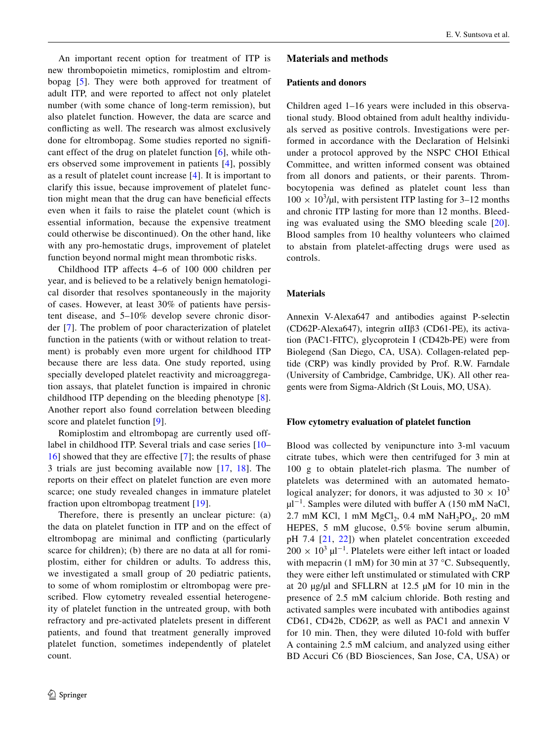An important recent option for treatment of ITP is new thrombopoietin mimetics, romiplostim and eltrombopag [[5\]](#page-6-4). They were both approved for treatment of adult ITP, and were reported to affect not only platelet number (with some chance of long-term remission), but also platelet function. However, the data are scarce and conflicting as well. The research was almost exclusively done for eltrombopag. Some studies reported no significant effect of the drug on platelet function [[6\]](#page-6-5), while others observed some improvement in patients [\[4](#page-6-3)], possibly as a result of platelet count increase [[4\]](#page-6-3). It is important to clarify this issue, because improvement of platelet function might mean that the drug can have beneficial effects even when it fails to raise the platelet count (which is essential information, because the expensive treatment could otherwise be discontinued). On the other hand, like with any pro-hemostatic drugs, improvement of platelet function beyond normal might mean thrombotic risks.

Childhood ITP affects 4–6 of 100 000 children per year, and is believed to be a relatively benign hematological disorder that resolves spontaneously in the majority of cases. However, at least 30% of patients have persistent disease, and 5–10% develop severe chronic disorder [[7](#page-6-6)]. The problem of poor characterization of platelet function in the patients (with or without relation to treatment) is probably even more urgent for childhood ITP because there are less data. One study reported, using specially developed platelet reactivity and microaggregation assays, that platelet function is impaired in chronic childhood ITP depending on the bleeding phenotype [[8](#page-6-7)]. Another report also found correlation between bleeding score and platelet function [[9\]](#page-6-8).

Romiplostim and eltrombopag are currently used offlabel in childhood ITP. Several trials and case series [[10](#page-6-9)– [16](#page-6-10)] showed that they are effective [[7](#page-6-6)]; the results of phase 3 trials are just becoming available now [[17](#page-6-11), [18\]](#page-6-12). The reports on their effect on platelet function are even more scarce; one study revealed changes in immature platelet fraction upon eltrombopag treatment [[19](#page-6-13)].

Therefore, there is presently an unclear picture: (a) the data on platelet function in ITP and on the effect of eltrombopag are minimal and conflicting (particularly scarce for children); (b) there are no data at all for romiplostim, either for children or adults. To address this, we investigated a small group of 20 pediatric patients, to some of whom romiplostim or eltrombopag were prescribed. Flow cytometry revealed essential heterogeneity of platelet function in the untreated group, with both refractory and pre-activated platelets present in different patients, and found that treatment generally improved platelet function, sometimes independently of platelet count.

#### <span id="page-1-0"></span>**Materials and methods**

#### **Patients and donors**

Children aged 1–16 years were included in this observational study. Blood obtained from adult healthy individuals served as positive controls. Investigations were performed in accordance with the Declaration of Helsinki under a protocol approved by the NSPC CHOI Ethical Committee, and written informed consent was obtained from all donors and patients, or their parents. Thrombocytopenia was defined as platelet count less than  $100 \times 10^3$ /µl, with persistent ITP lasting for 3–12 months and chronic ITP lasting for more than 12 months. Bleeding was evaluated using the SMO bleeding scale [[20](#page-6-14)]. Blood samples from 10 healthy volunteers who claimed to abstain from platelet-affecting drugs were used as controls.

#### **Materials**

Annexin V-Alexa647 and antibodies against P-selectin (CD62P-Alexa647), integrin αIIβ3 (CD61-PE), its activation (PAC1-FITC), glycoprotein I (CD42b-PE) were from Biolegend (San Diego, CA, USA). Collagen-related peptide (CRP) was kindly provided by Prof. R.W. Farndale (University of Cambridge, Cambridge, UK). All other reagents were from Sigma-Aldrich (St Louis, MO, USA).

#### **Flow cytometry evaluation of platelet function**

Blood was collected by venipuncture into 3-ml vacuum citrate tubes, which were then centrifuged for 3 min at 100 g to obtain platelet-rich plasma. The number of platelets was determined with an automated hematological analyzer; for donors, it was adjusted to  $30 \times 10^3$  $\mu$ l<sup>-1</sup>. Samples were diluted with buffer A (150 mM NaCl, 2.7 mM KCl, 1 mM  $MgCl_2$ , 0.4 mM  $NaH_2PO_4$ , 20 mM HEPES, 5 mM glucose, 0.5% bovine serum albumin, pH 7.4 [\[21](#page-7-0), [22\]](#page-7-1)) when platelet concentration exceeded  $200 \times 10^3 \,\text{µ}^{-1}$ . Platelets were either left intact or loaded with mepacrin (1 mM) for 30 min at 37  $^{\circ}$ C. Subsequently, they were either left unstimulated or stimulated with CRP at 20 µg/µl and SFLLRN at 12.5 µM for 10 min in the presence of 2.5 mM calcium chloride. Both resting and activated samples were incubated with antibodies against CD61, CD42b, CD62P, as well as PAC1 and annexin V for 10 min. Then, they were diluted 10-fold with buffer A containing 2.5 mM calcium, and analyzed using either BD Accuri C6 (BD Biosciences, San Jose, CA, USA) or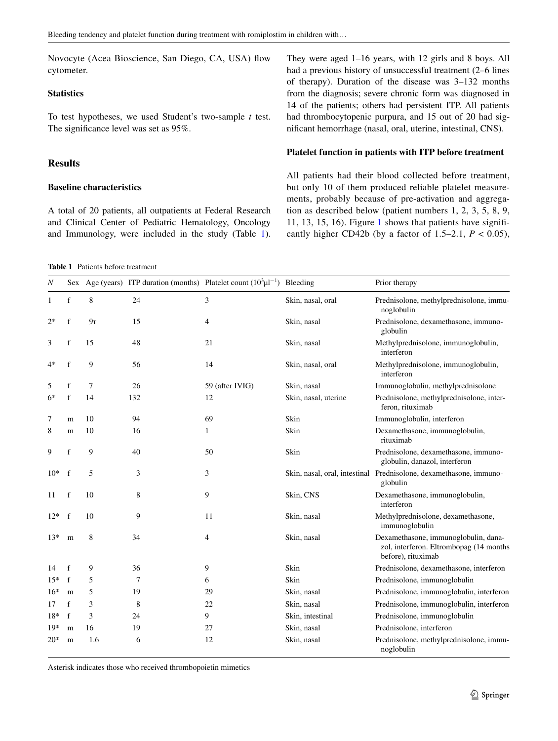Novocyte (Acea Bioscience, San Diego, CA, USA) flow cytometer.

#### **Statistics**

To test hypotheses, we used Student's two-sample *t* test. The significance level was set as 95%.

## **Results**

#### **Baseline characteristics**

A total of 20 patients, all outpatients at Federal Research and Clinical Center of Pediatric Hematology, Oncology and Immunology, were included in the study (Table [1](#page-2-0)).

They were aged 1–16 years, with 12 girls and 8 boys. All had a previous history of unsuccessful treatment (2–6 lines of therapy). Duration of the disease was 3–132 months from the diagnosis; severe chronic form was diagnosed in 14 of the patients; others had persistent ITP. All patients had thrombocytopenic purpura, and 15 out of 20 had significant hemorrhage (nasal, oral, uterine, intestinal, CNS).

## **Platelet function in patients with ITP before treatment**

All patients had their blood collected before treatment, but only 10 of them produced reliable platelet measurements, probably because of pre-activation and aggregation as described below (patient numbers 1, 2, 3, 5, 8, 9, [1](#page-3-0)1, 13, 15, 16). Figure 1 shows that patients have significantly higher CD42b (by a factor of 1.5–2.1,  $P < 0.05$ ),

<span id="page-2-0"></span>**Table 1** Patients before treatment

| $\boldsymbol{N}$ |             |                |     | Sex Age (years) ITP duration (months) Platelet count $(10^3 \mu l^{-1})$ Bleeding |                      | Prior therapy                                                                                         |
|------------------|-------------|----------------|-----|-----------------------------------------------------------------------------------|----------------------|-------------------------------------------------------------------------------------------------------|
| 1                | $\mathbf f$ | 8              | 24  | 3                                                                                 | Skin, nasal, oral    | Prednisolone, methylprednisolone, immu-<br>noglobulin                                                 |
| $2*$             | f           | 9 <sub>T</sub> | 15  | 4                                                                                 | Skin, nasal          | Prednisolone, dexamethasone, immuno-<br>globulin                                                      |
| 3                | f           | 15             | 48  | 21                                                                                | Skin, nasal          | Methylprednisolone, immunoglobulin,<br>interferon                                                     |
| 4*               | f           | 9              | 56  | 14                                                                                | Skin, nasal, oral    | Methylprednisolone, immunoglobulin,<br>interferon                                                     |
| 5                | f           | 7              | 26  | 59 (after IVIG)                                                                   | Skin, nasal          | Immunoglobulin, methylprednisolone                                                                    |
| 6*               | f           | 14             | 132 | 12                                                                                | Skin, nasal, uterine | Prednisolone, methylprednisolone, inter-<br>feron, rituximab                                          |
| 7                | m           | 10             | 94  | 69                                                                                | Skin                 | Immunoglobulin, interferon                                                                            |
| 8                | m           | 10             | 16  | 1                                                                                 | Skin                 | Dexamethasone, immunoglobulin,<br>rituximab                                                           |
| 9                | f           | 9              | 40  | 50                                                                                | Skin                 | Prednisolone, dexamethasone, immuno-<br>globulin, danazol, interferon                                 |
| $10*$            | f           | 5              | 3   | 3                                                                                 |                      | Skin, nasal, oral, intestinal Prednisolone, dexamethasone, immuno-<br>globulin                        |
| 11               | f           | 10             | 8   | 9                                                                                 | Skin, CNS            | Dexamethasone, immunoglobulin,<br>interferon                                                          |
| $12*$            | f           | 10             | 9   | 11                                                                                | Skin, nasal          | Methylprednisolone, dexamethasone,<br>immunoglobulin                                                  |
| $13*$            | m           | 8              | 34  | 4                                                                                 | Skin, nasal          | Dexamethasone, immunoglobulin, dana-<br>zol, interferon. Eltrombopag (14 months<br>before), rituximab |
| 14               |             | 9              | 36  | 9                                                                                 | Skin                 | Prednisolone, dexamethasone, interferon                                                               |
| $15*$            | $\mathbf f$ | 5              | 7   | 6                                                                                 | Skin                 | Prednisolone, immunoglobulin                                                                          |
| $16*$            | m           | 5              | 19  | 29                                                                                | Skin, nasal          | Prednisolone, immunoglobulin, interferon                                                              |
| 17               | f           | 3              | 8   | 22                                                                                | Skin, nasal          | Prednisolone, immunoglobulin, interferon                                                              |
| $18*$            | $\mathbf f$ | 3              | 24  | 9                                                                                 | Skin, intestinal     | Prednisolone, immunoglobulin                                                                          |
| 19*              | m           | 16             | 19  | 27                                                                                | Skin, nasal          | Prednisolone, interferon                                                                              |
| $20*$            | m           | 1.6            | 6   | 12                                                                                | Skin, nasal          | Prednisolone, methylprednisolone, immu-<br>noglobulin                                                 |

Asterisk indicates those who received thrombopoietin mimetics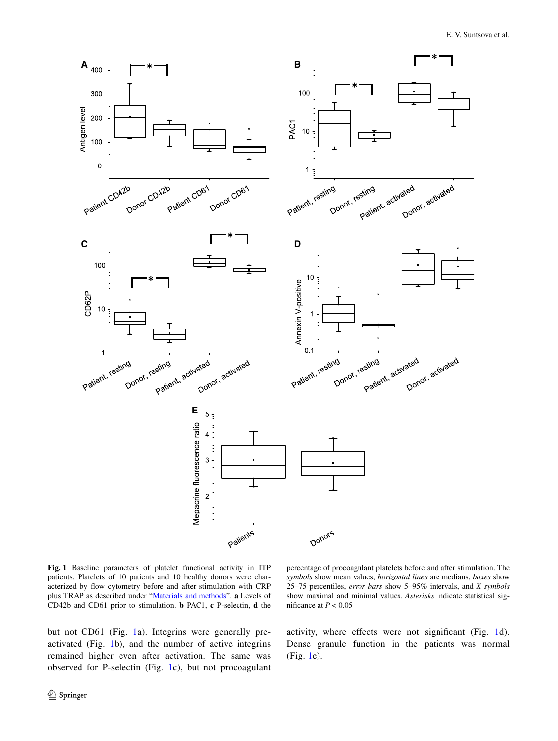

<span id="page-3-0"></span>**Fig. 1** Baseline parameters of platelet functional activity in ITP patients. Platelets of 10 patients and 10 healthy donors were characterized by flow cytometry before and after stimulation with CRP plus TRAP as described under "[Materials and methods"](#page-1-0). **a** Levels of CD42b and CD61 prior to stimulation. **b** PAC1, **c** P-selectin, **d** the

percentage of procoagulant platelets before and after stimulation. The *symbols* show mean values, *horizontal lines* are medians, *boxes* show 25–75 percentiles, *error bars* show 5–95% intervals, and *X symbols* show maximal and minimal values. *Asterisks* indicate statistical significance at  $P < 0.05$ 

but not CD61 (Fig. [1a](#page-3-0)). Integrins were generally preactivated (Fig. [1](#page-3-0)b), and the number of active integrins remained higher even after activation. The same was observed for P-selectin (Fig. [1c](#page-3-0)), but not procoagulant activity, where effects were not significant (Fig. [1](#page-3-0)d). Dense granule function in the patients was normal (Fig. [1e](#page-3-0)).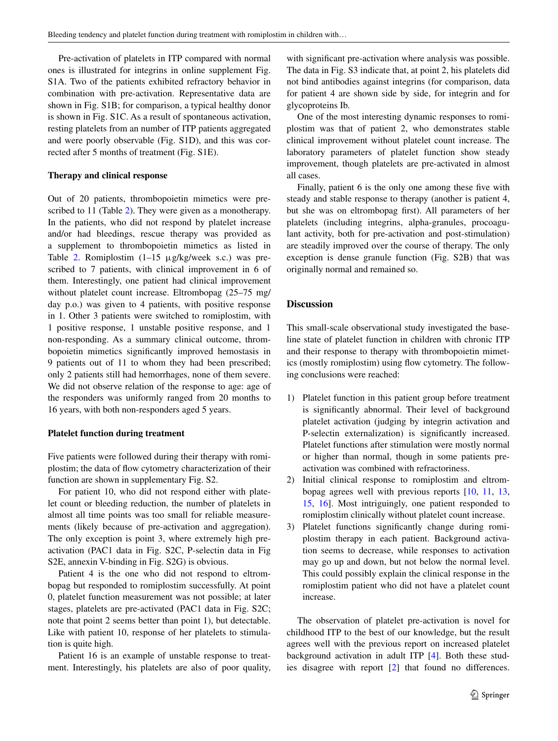Pre-activation of platelets in ITP compared with normal ones is illustrated for integrins in online supplement Fig. S1A. Two of the patients exhibited refractory behavior in combination with pre-activation. Representative data are shown in Fig. S1B; for comparison, a typical healthy donor is shown in Fig. S1C. As a result of spontaneous activation, resting platelets from an number of ITP patients aggregated and were poorly observable (Fig. S1D), and this was corrected after 5 months of treatment (Fig. S1E).

#### **Therapy and clinical response**

Out of 20 patients, thrombopoietin mimetics were pre-scribed to 11 (Table [2\)](#page-5-0). They were given as a monotherapy. In the patients, who did not respond by platelet increase and/or had bleedings, rescue therapy was provided as a supplement to thrombopoietin mimetics as listed in Table [2](#page-5-0). Romiplostim  $(1-15 \mu g/kg/week s.c.)$  was prescribed to 7 patients, with clinical improvement in 6 of them. Interestingly, one patient had clinical improvement without platelet count increase. Eltrombopag (25–75 mg/ day p.o.) was given to 4 patients, with positive response in 1. Other 3 patients were switched to romiplostim, with 1 positive response, 1 unstable positive response, and 1 non-responding. As a summary clinical outcome, thrombopoietin mimetics significantly improved hemostasis in 9 patients out of 11 to whom they had been prescribed; only 2 patients still had hemorrhages, none of them severe. We did not observe relation of the response to age: age of the responders was uniformly ranged from 20 months to 16 years, with both non-responders aged 5 years.

#### **Platelet function during treatment**

Five patients were followed during their therapy with romiplostim; the data of flow cytometry characterization of their function are shown in supplementary Fig. S2.

For patient 10, who did not respond either with platelet count or bleeding reduction, the number of platelets in almost all time points was too small for reliable measurements (likely because of pre-activation and aggregation). The only exception is point 3, where extremely high preactivation (PAC1 data in Fig. S2C, P-selectin data in Fig S2E, annexin V-binding in Fig. S2G) is obvious.

Patient 4 is the one who did not respond to eltrombopag but responded to romiplostim successfully. At point 0, platelet function measurement was not possible; at later stages, platelets are pre-activated (PAC1 data in Fig. S2C; note that point 2 seems better than point 1), but detectable. Like with patient 10, response of her platelets to stimulation is quite high.

Patient 16 is an example of unstable response to treatment. Interestingly, his platelets are also of poor quality,

with significant pre-activation where analysis was possible. The data in Fig. S3 indicate that, at point 2, his platelets did not bind antibodies against integrins (for comparison, data for patient 4 are shown side by side, for integrin and for glycoproteins Ib.

One of the most interesting dynamic responses to romiplostim was that of patient 2, who demonstrates stable clinical improvement without platelet count increase. The laboratory parameters of platelet function show steady improvement, though platelets are pre-activated in almost all cases.

Finally, patient 6 is the only one among these five with steady and stable response to therapy (another is patient 4, but she was on eltrombopag first). All parameters of her platelets (including integrins, alpha-granules, procoagulant activity, both for pre-activation and post-stimulation) are steadily improved over the course of therapy. The only exception is dense granule function (Fig. S2B) that was originally normal and remained so.

## **Discussion**

This small-scale observational study investigated the baseline state of platelet function in children with chronic ITP and their response to therapy with thrombopoietin mimetics (mostly romiplostim) using flow cytometry. The following conclusions were reached:

- 1) Platelet function in this patient group before treatment is significantly abnormal. Their level of background platelet activation (judging by integrin activation and P-selectin externalization) is significantly increased. Platelet functions after stimulation were mostly normal or higher than normal, though in some patients preactivation was combined with refractoriness.
- 2) Initial clinical response to romiplostim and eltrombopag agrees well with previous reports [\[10](#page-6-9), [11](#page-6-15), [13,](#page-6-16) [15](#page-6-17), [16](#page-6-10)]. Most intriguingly, one patient responded to romiplostim clinically without platelet count increase.
- 3) Platelet functions significantly change during romiplostim therapy in each patient. Background activation seems to decrease, while responses to activation may go up and down, but not below the normal level. This could possibly explain the clinical response in the romiplostim patient who did not have a platelet count increase.

The observation of platelet pre-activation is novel for childhood ITP to the best of our knowledge, but the result agrees well with the previous report on increased platelet background activation in adult ITP [\[4](#page-6-3)]. Both these studies disagree with report [\[2](#page-6-1)] that found no differences.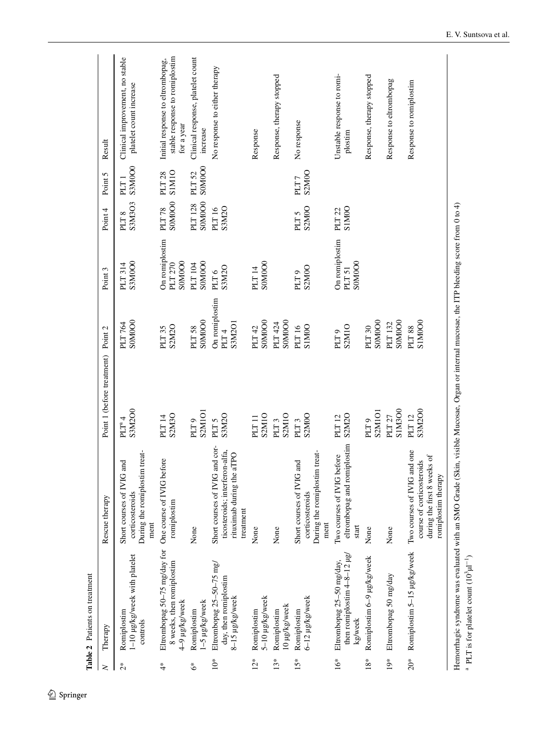| $\geq$               | Therapy                                                                                                                                                                                                   | Rescue therapy                                                                                                 | Point 1 (before treatment) Point 2                   |                                  | Point 3                                       | Point 4                     | Point 5                                 | Result                                                                           |
|----------------------|-----------------------------------------------------------------------------------------------------------------------------------------------------------------------------------------------------------|----------------------------------------------------------------------------------------------------------------|------------------------------------------------------|----------------------------------|-----------------------------------------------|-----------------------------|-----------------------------------------|----------------------------------------------------------------------------------|
| $\tilde{c}^*$        | 1-10 µg/kg/week with platelet<br>Romiplostim<br>controls                                                                                                                                                  | treat-<br>Short courses of IVIG and<br>During the romiplostim<br>corticosteroids<br>ment                       | S3M200<br>$PLT^4$ 4                                  | SOMOOO<br>PLT764                 | S3M0O0<br>PLT 314                             | S3M3O3<br>PLT <sub>8</sub>  | S3M0O0<br>PLT <sub>1</sub>              | Clinical improvement, no stable<br>platelet count increase                       |
| $\ddot{\ddot{\tau}}$ | Eltrombopag 50-75 mg/day for<br>8 weeks, then romiplostim<br>4-9 µg/kg/week                                                                                                                               | One course of IVIG before<br>romiplostim                                                                       | S2M3O<br>PLT 14                                      | S2M2O<br>PLT <sub>35</sub>       | On romiplostim<br>SOMOOO<br>PLT 270           | SOMOOO<br>PLT <sub>78</sub> | SIMIO<br>PLT <sub>28</sub>              | stable response to romiplostim<br>Initial response to eltrombopag,<br>for a year |
| $\mathring{\circ}$   | 1-5 µg/kg/week<br>Romiplostim                                                                                                                                                                             | None                                                                                                           | S <sub>2</sub> M <sub>1</sub> O <sub>1</sub><br>PLT9 | SOMOOO<br>PLT58                  | SOMOOO<br>PLT104                              | SOMOOO<br><b>PLT128</b>     | SOMOOO<br>PLT <sub>52</sub>             | Clinical response, platelet count<br>increase                                    |
| $\stackrel{*}{\geq}$ | Eltrombopag 25–50–75 mg/<br>day, then romiplostim<br>8-15 µg/kg/week                                                                                                                                      | Short courses of IVIG and cor-<br>ticosteroids; interferon-alfa,<br>rituximab during the aTPO<br>treatment     | S3M2O<br>PLT <sub>5</sub>                            | On romiplostim<br>S3M201<br>PLT4 | S3M2O<br>PLT6                                 | S3M2O<br>PLT16              |                                         | No response to either therapy                                                    |
| $12*$                | 5-10 µg/kg/week<br>Romiplostim                                                                                                                                                                            | None                                                                                                           | S2M1O<br>PLT <sub>11</sub>                           | SOMOOO<br>PLT 42                 | SOMOOO<br>PLT <sub>14</sub>                   |                             |                                         | Response                                                                         |
| $13*$                | 10 µg/kg/week<br>Romiplostim                                                                                                                                                                              | None                                                                                                           | S2M1O<br>PLT <sub>3</sub>                            | SOMOOO<br>PLT 424                |                                               |                             |                                         | Response, therapy stopped                                                        |
| 15*                  | 6-12 µg/kg/week<br>Romiplostim                                                                                                                                                                            | treat-<br>Short courses of IVIG and<br>During the romiplostim<br>corticosteroids<br>ment                       | S2M0O<br>PLT <sub>3</sub>                            | PLT16<br>SIMOO                   | S <sub>2</sub> M <sub>0</sub> O<br>PLT9       | S2M0O<br>PLT <sub>5</sub>   | S <sub>2</sub> M <sub>0</sub> O<br>PLT7 | No response                                                                      |
| $16*$                | then romiplostim $4-8-12$ µg<br>Eltrombopag 25-50 mg/day,<br>kg/week                                                                                                                                      | eltrombopag and romiplostim<br>Two courses of IVIG before<br>start                                             | S <sub>2</sub> M <sub>2</sub> O<br>PLT <sub>12</sub> | S2M1O<br>PLT9                    | On romiplostim<br>SOMOOO<br>PLT <sub>51</sub> | SIMOO<br>PLT <sub>22</sub>  |                                         | Unstable response to romi-<br>plostim                                            |
| 18*                  | Romiplostim 6-9 µg/kg/week                                                                                                                                                                                | None                                                                                                           | S <sub>2</sub> M <sub>1</sub> O <sub>1</sub><br>PLT9 | SOMOOO<br>PLT <sub>30</sub>      |                                               |                             |                                         | Response, therapy stopped                                                        |
| $19*$                | Eltrombopag 50 mg/day                                                                                                                                                                                     | None                                                                                                           | S1M300<br>PLT <sub>27</sub>                          | SOMOOO<br>PLT 132                |                                               |                             |                                         | Response to eltrombopag                                                          |
| $20*$                | Romiplostim 5-15 µg/kg/week                                                                                                                                                                               | Two courses of IVIG and one<br>during the first 8 weeks of<br>course of corticosteroids<br>romiplostim therapy | S3M200<br>PLT <sub>12</sub>                          | S1M0O0<br>PLT88                  |                                               |                             |                                         | Response to romiplostim                                                          |
|                      | Hemorrhagic syndrome was evaluated with an SMO Grade (Skin, visible Mucosae, Organ or internal mucosae, the ITP bleeding score from 0 to 4)<br><sup>a</sup> PLT is for platelet count $(10^3 \mu l^{-1})$ |                                                                                                                |                                                      |                                  |                                               |                             |                                         |                                                                                  |

<span id="page-5-0"></span>1 3 **Table 2** Patients on treatment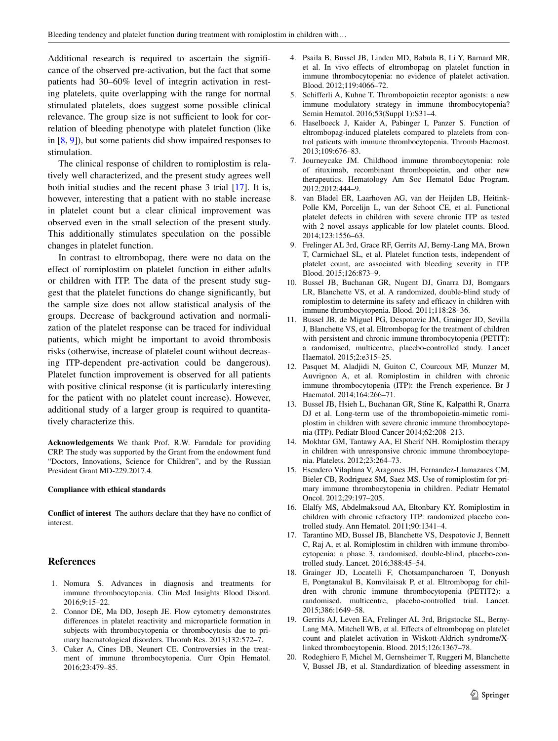Additional research is required to ascertain the significance of the observed pre-activation, but the fact that some patients had 30–60% level of integrin activation in resting platelets, quite overlapping with the range for normal stimulated platelets, does suggest some possible clinical relevance. The group size is not sufficient to look for correlation of bleeding phenotype with platelet function (like in [[8,](#page-6-7) [9\]](#page-6-8)), but some patients did show impaired responses to stimulation.

The clinical response of children to romiplostim is relatively well characterized, and the present study agrees well both initial studies and the recent phase 3 trial [[17\]](#page-6-11). It is, however, interesting that a patient with no stable increase in platelet count but a clear clinical improvement was observed even in the small selection of the present study. This additionally stimulates speculation on the possible changes in platelet function.

In contrast to eltrombopag, there were no data on the effect of romiplostim on platelet function in either adults or children with ITP. The data of the present study suggest that the platelet functions do change significantly, but the sample size does not allow statistical analysis of the groups. Decrease of background activation and normalization of the platelet response can be traced for individual patients, which might be important to avoid thrombosis risks (otherwise, increase of platelet count without decreasing ITP-dependent pre-activation could be dangerous). Platelet function improvement is observed for all patients with positive clinical response (it is particularly interesting for the patient with no platelet count increase). However, additional study of a larger group is required to quantitatively characterize this.

**Acknowledgements** We thank Prof. R.W. Farndale for providing CRP. The study was supported by the Grant from the endowment fund "Doctors, Innovations, Science for Children", and by the Russian President Grant MD-229.2017.4.

#### **Compliance with ethical standards**

**Conflict of interest** The authors declare that they have no conflict of interest.

### **References**

- <span id="page-6-0"></span>1. Nomura S. Advances in diagnosis and treatments for immune thrombocytopenia. Clin Med Insights Blood Disord. 2016;9:15–22.
- <span id="page-6-1"></span>2. Connor DE, Ma DD, Joseph JE. Flow cytometry demonstrates differences in platelet reactivity and microparticle formation in subjects with thrombocytopenia or thrombocytosis due to primary haematological disorders. Thromb Res. 2013;132:572–7.
- <span id="page-6-2"></span>3. Cuker A, Cines DB, Neunert CE. Controversies in the treatment of immune thrombocytopenia. Curr Opin Hematol. 2016;23:479–85.
- <span id="page-6-3"></span>4. Psaila B, Bussel JB, Linden MD, Babula B, Li Y, Barnard MR, et al. In vivo effects of eltrombopag on platelet function in immune thrombocytopenia: no evidence of platelet activation. Blood. 2012;119:4066–72.
- <span id="page-6-4"></span>5. Schifferli A, Kuhne T. Thrombopoietin receptor agonists: a new immune modulatory strategy in immune thrombocytopenia? Semin Hematol. 2016;53(Suppl 1):S31–4.
- <span id="page-6-5"></span>6. Haselboeck J, Kaider A, Pabinger I, Panzer S. Function of eltrombopag-induced platelets compared to platelets from control patients with immune thrombocytopenia. Thromb Haemost. 2013;109:676–83.
- <span id="page-6-6"></span>7. Journeycake JM. Childhood immune thrombocytopenia: role of rituximab, recombinant thrombopoietin, and other new therapeutics. Hematology Am Soc Hematol Educ Program. 2012;2012:444–9.
- <span id="page-6-7"></span>8. van Bladel ER, Laarhoven AG, van der Heijden LB, Heitink-Polle KM, Porcelijn L, van der Schoot CE, et al. Functional platelet defects in children with severe chronic ITP as tested with 2 novel assays applicable for low platelet counts. Blood. 2014;123:1556–63.
- <span id="page-6-8"></span>9. Frelinger AL 3rd, Grace RF, Gerrits AJ, Berny-Lang MA, Brown T, Carmichael SL, et al. Platelet function tests, independent of platelet count, are associated with bleeding severity in ITP. Blood. 2015;126:873–9.
- <span id="page-6-9"></span>10. Bussel JB, Buchanan GR, Nugent DJ, Gnarra DJ, Bomgaars LR, Blanchette VS, et al. A randomized, double-blind study of romiplostim to determine its safety and efficacy in children with immune thrombocytopenia. Blood. 2011;118:28–36.
- <span id="page-6-15"></span>11. Bussel JB, de Miguel PG, Despotovic JM, Grainger JD, Sevilla J, Blanchette VS, et al. Eltrombopag for the treatment of children with persistent and chronic immune thrombocytopenia (PETIT): a randomised, multicentre, placebo-controlled study. Lancet Haematol. 2015;2:e315–25.
- 12. Pasquet M, Aladjidi N, Guiton C, Courcoux MF, Munzer M, Auvrignon A, et al. Romiplostim in children with chronic immune thrombocytopenia (ITP): the French experience. Br J Haematol. 2014;164:266–71.
- <span id="page-6-16"></span>13. Bussel JB, Hsieh L, Buchanan GR, Stine K, Kalpatthi R, Gnarra DJ et al. Long-term use of the thrombopoietin-mimetic romiplostim in children with severe chronic immune thrombocytopenia (ITP). Pediatr Blood Cancer 2014;62:208–213.
- 14. Mokhtar GM, Tantawy AA, El Sherif NH. Romiplostim therapy in children with unresponsive chronic immune thrombocytopenia. Platelets. 2012;23:264–73.
- <span id="page-6-17"></span>15. Escudero Vilaplana V, Aragones JH, Fernandez-Llamazares CM, Bieler CB, Rodriguez SM, Saez MS. Use of romiplostim for primary immune thrombocytopenia in children. Pediatr Hematol Oncol. 2012;29:197–205.
- <span id="page-6-10"></span>16. Elalfy MS, Abdelmaksoud AA, Eltonbary KY. Romiplostim in children with chronic refractory ITP: randomized placebo controlled study. Ann Hematol. 2011;90:1341–4.
- <span id="page-6-11"></span>17. Tarantino MD, Bussel JB, Blanchette VS, Despotovic J, Bennett C, Raj A, et al. Romiplostim in children with immune thrombocytopenia: a phase 3, randomised, double-blind, placebo-controlled study. Lancet. 2016;388:45–54.
- <span id="page-6-12"></span>18. Grainger JD, Locatelli F, Chotsampancharoen T, Donyush E, Pongtanakul B, Komvilaisak P, et al. Eltrombopag for children with chronic immune thrombocytopenia (PETIT2): a randomised, multicentre, placebo-controlled trial. Lancet. 2015;386:1649–58.
- <span id="page-6-13"></span>19. Gerrits AJ, Leven EA, Frelinger AL 3rd, Brigstocke SL, Berny-Lang MA, Mitchell WB, et al. Effects of eltrombopag on platelet count and platelet activation in Wiskott-Aldrich syndrome/Xlinked thrombocytopenia. Blood. 2015;126:1367–78.
- <span id="page-6-14"></span>20. Rodeghiero F, Michel M, Gernsheimer T, Ruggeri M, Blanchette V, Bussel JB, et al. Standardization of bleeding assessment in